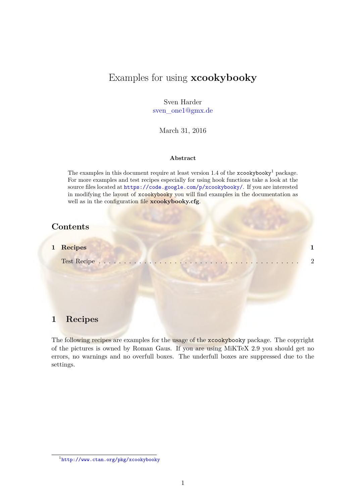## Examples for using **xcookybooky**

Sven Harder sven one1@gmx.de

March 31, 2016

### **Abstract**

The examples in this document require at least version 1.4 of the  $x \circ c$  okybooky<sup>1</sup> package. For more examples and test recipes especially for using hook functions take a look at the source files located at <https://code.google.com/p/xcookybooky/>. If you are interested in modifying the layout of xcookybooky you will find examples in the documentation as well as in the configuration file **xcookybooky.cfg**.

### **Contents**

**1 Recipes 1**

[Test Recipe](#page-1-0) . . . . . . . . . . . . . . . . . . . . . . . . . . . . . . . . . . . . . . . . 2

### **1 Recipes**

The following recipes are examples for the usage of the **xcookybooky** package. The copyright of the pictures is owned by Roman Gaus. If you are using MiKTeX 2.9 you should get no errors, no warnings and no overfull boxes. The underfull boxes are suppressed due to the settings.

<sup>1</sup> <http://www.ctan.org/pkg/xcookybooky>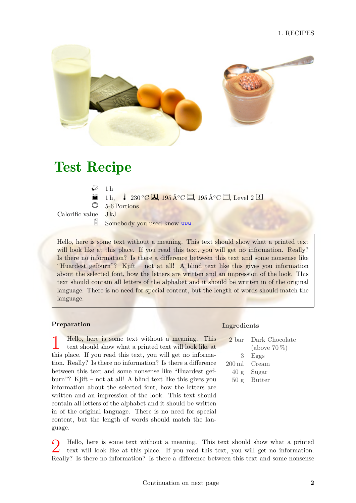<span id="page-1-0"></span>

# Test Recipe

♦ 1 h

 $\blacksquare$  1 h,  $\downarrow$  230 °C  $\blacksquare$ , 195 °C  $\Box$ , 195 °C  $\Box$ , Level 2  $\blacksquare$  $\begin{array}{ll}\n\blacksquare & 1 \, h, & \blacksquare & 230 \\
\hfill \heartsuit & 5\text{-}6 \,\text{Portions}\n\end{array}$ 

Calorific value  $3kJ$ 

Somebody you used know <www.>

Hello, here is some text without a meaning. This text should show what a printed text will look like at this place. If you read this text, you will get no information. Really? Is there no information? Is there a difference between this text and some nonsense like "Huardest gefburn"? Kjift – not at all! A blind text like this gives you information about the selected font, how the letters are written and an impression of the look. This text should contain all letters of the alphabet and it should be written in of the original language. There is no need for special content, but the length of words should match the language.

### **Preparation**

1 Hello, here is some text without a meaning. This text should show what a printed text will look like at this place. If you read this text, you will get no information. Really? Is there no information? Is there a difference between this text and some nonsense like "Huardest gefburn"? Kjift – not at all! A blind text like this gives you information about the selected font, how the letters are written and an impression of the look. This text should contain all letters of the alphabet and it should be written in of the original language. There is no need for special content, but the length of words should match the language.

### **Ingredients**

| 2 bar Dark Chocolate  |
|-----------------------|
| $(\text{above }70\%)$ |
| $3$ Eggs              |
| 200 ml Cream          |
| $40 \text{ g}$ Sugar  |
| 50 g Butter           |

2 Hello, here is some text without a meaning. This text should show what a printed text will look like at this place. If you read this text, you will get no information. Really? Is there no information? Is there a difference between this text and some nonsense